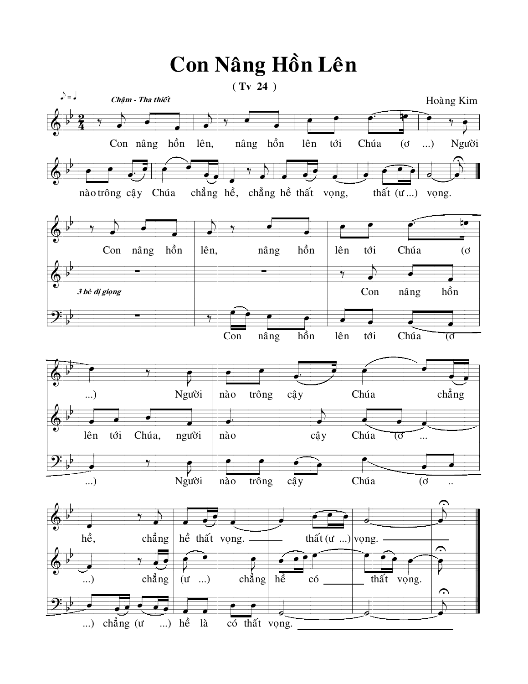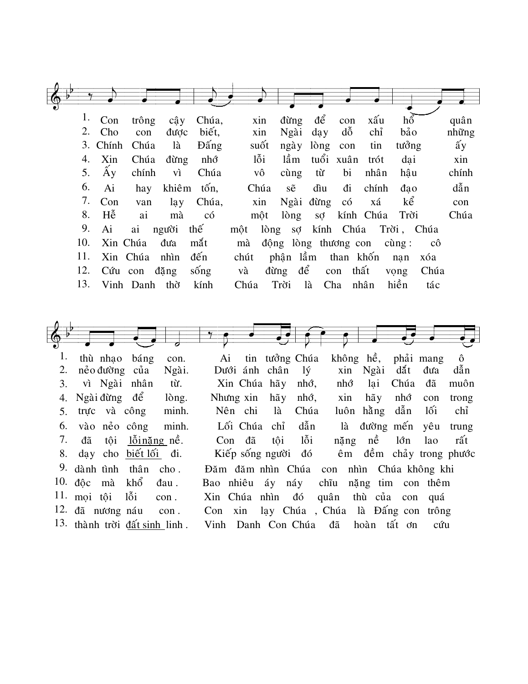| $\bigcirc$ |     |          |               |              |              |      |      |         |                      |                   |                         |                 |      |               |
|------------|-----|----------|---------------|--------------|--------------|------|------|---------|----------------------|-------------------|-------------------------|-----------------|------|---------------|
|            |     |          |               |              |              |      |      |         |                      |                   |                         |                 |      |               |
|            |     | 1. Con   | trông         | cây          | Chúa,        |      | xin  | đừng    | để                   | con               | xấu                     | hổ              |      | quân          |
|            | 2.  | Cho      | con           | được         | biết,        | xin  |      | Ngài    | day                  | $d\tilde{\delta}$ | chỉ                     | bảo             |      | những         |
|            |     | 3. Chính | Chúa          | là           | <b>D</b> ang |      | suốt | ngày    | lòng                 | con               | tin                     | tưởng           |      | $\hat{a}y$    |
|            | 4.  | Xin      | Chúa          | đừng         | nhớ          | lỗi  |      | lầm     |                      | tuổi xuân         | trót                    | dai             |      | xin           |
|            | 5.  | Áу       | chính         | vì           | Chúa         | vô   |      | cùng    | từ                   | bi                | nhân                    | hậu             |      | chính         |
|            | 6.  | Ai       | hay           |              | khiêm tốn,   | Chúa |      | sẽ      | dìu                  | đi                | chính                   | dao             |      | $d\tilde{a}n$ |
|            | 7.  | Con      | van           | la y         | Chúa,        |      | xin  |         | Ngài đừng có         |                   | xá                      | kể              |      | con           |
|            | 8.  | Hễ       | ai            | mà           | có           |      | một  | $\log$  |                      |                   | sợ kính Chúa Trời       |                 |      | Chúa          |
|            | 9.  | Ai       |               | ai người thế |              | một  | lòng |         |                      |                   | sợ kính Chúa Trời, Chúa |                 |      |               |
|            | 10. |          | Xin Chúa      | đưa          | mắt          | mà   |      |         | động lòng thương con |                   |                         | $c\hat{u}$ ng : | cô   |               |
|            | 11. |          | Xin Chúa      | nhìn         | đến          | chút |      |         | phận lầm than khốn   |                   |                         | nan             | xóa  |               |
|            | 12. |          | Cứu con đặng  |              | sống         | và   |      | đừng để |                      | con thất          |                         | vong            | Chúa |               |
|            | 13. |          | Vinh Danh thờ |              | kính         | Chúa |      | Trời    | là                   | Cha               | nhân                    | hiền            | tác  |               |